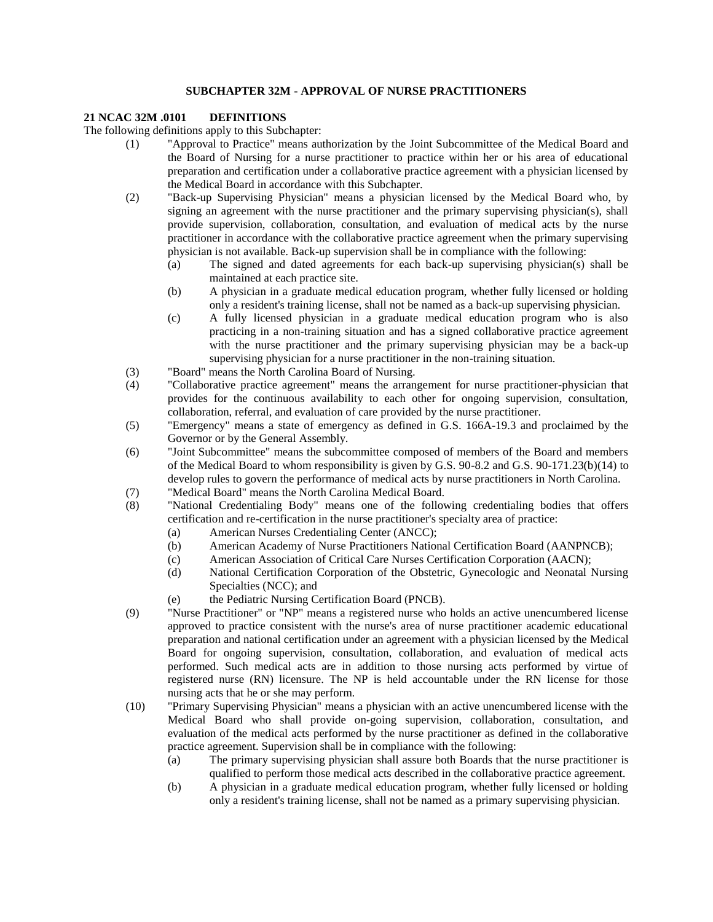## **SUBCHAPTER 32M - APPROVAL OF NURSE PRACTITIONERS**

## **21 NCAC 32M .0101 DEFINITIONS**

The following definitions apply to this Subchapter:

- (1) "Approval to Practice" means authorization by the Joint Subcommittee of the Medical Board and the Board of Nursing for a nurse practitioner to practice within her or his area of educational preparation and certification under a collaborative practice agreement with a physician licensed by the Medical Board in accordance with this Subchapter.
- (2) "Back-up Supervising Physician" means a physician licensed by the Medical Board who, by signing an agreement with the nurse practitioner and the primary supervising physician(s), shall provide supervision, collaboration, consultation, and evaluation of medical acts by the nurse practitioner in accordance with the collaborative practice agreement when the primary supervising physician is not available. Back-up supervision shall be in compliance with the following:
	- (a) The signed and dated agreements for each back-up supervising physician(s) shall be maintained at each practice site.
	- (b) A physician in a graduate medical education program, whether fully licensed or holding only a resident's training license, shall not be named as a back-up supervising physician.
	- (c) A fully licensed physician in a graduate medical education program who is also practicing in a non-training situation and has a signed collaborative practice agreement with the nurse practitioner and the primary supervising physician may be a back-up supervising physician for a nurse practitioner in the non-training situation.
- (3) "Board" means the North Carolina Board of Nursing.
- (4) "Collaborative practice agreement" means the arrangement for nurse practitioner-physician that provides for the continuous availability to each other for ongoing supervision, consultation, collaboration, referral, and evaluation of care provided by the nurse practitioner.
- (5) "Emergency" means a state of emergency as defined in G.S. 166A-19.3 and proclaimed by the Governor or by the General Assembly.
- (6) "Joint Subcommittee" means the subcommittee composed of members of the Board and members of the Medical Board to whom responsibility is given by G.S. 90-8.2 and G.S. 90-171.23(b)(14) to develop rules to govern the performance of medical acts by nurse practitioners in North Carolina.
- (7) "Medical Board" means the North Carolina Medical Board.
- (8) "National Credentialing Body" means one of the following credentialing bodies that offers certification and re-certification in the nurse practitioner's specialty area of practice:
	- (a) American Nurses Credentialing Center (ANCC);
	- (b) American Academy of Nurse Practitioners National Certification Board (AANPNCB);
	- (c) American Association of Critical Care Nurses Certification Corporation (AACN);
	- (d) National Certification Corporation of the Obstetric, Gynecologic and Neonatal Nursing Specialties (NCC); and
	- (e) the Pediatric Nursing Certification Board (PNCB).
- (9) "Nurse Practitioner" or "NP" means a registered nurse who holds an active unencumbered license approved to practice consistent with the nurse's area of nurse practitioner academic educational preparation and national certification under an agreement with a physician licensed by the Medical Board for ongoing supervision, consultation, collaboration, and evaluation of medical acts performed. Such medical acts are in addition to those nursing acts performed by virtue of registered nurse (RN) licensure. The NP is held accountable under the RN license for those nursing acts that he or she may perform.
- (10) "Primary Supervising Physician" means a physician with an active unencumbered license with the Medical Board who shall provide on-going supervision, collaboration, consultation, and evaluation of the medical acts performed by the nurse practitioner as defined in the collaborative practice agreement. Supervision shall be in compliance with the following:
	- (a) The primary supervising physician shall assure both Boards that the nurse practitioner is qualified to perform those medical acts described in the collaborative practice agreement.
	- (b) A physician in a graduate medical education program, whether fully licensed or holding only a resident's training license, shall not be named as a primary supervising physician.